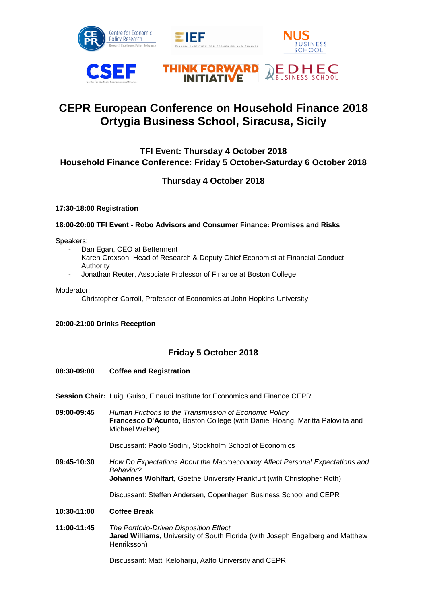









# **CEPR European Conference on Household Finance 2018 Ortygia Business School, Siracusa, Sicily**

# **TFI Event: Thursday 4 October 2018 Household Finance Conference: Friday 5 October-Saturday 6 October 2018**

# **Thursday 4 October 2018**

#### **17:30-18:00 Registration**

#### **18:00-20:00 TFI Event - Robo Advisors and Consumer Finance: Promises and Risks**

Speakers:

- Dan Egan, CEO at Betterment
- Karen Croxson, Head of Research & Deputy Chief Economist at Financial Conduct Authority
- Jonathan Reuter, Associate Professor of Finance at Boston College

Moderator:

- Christopher Carroll, Professor of Economics at John Hopkins University

#### **20:00-21:00 Drinks Reception**

### **Friday 5 October 2018**

#### **08:30-09:00 Coffee and Registration**

- **Session Chair:** Luigi Guiso, Einaudi Institute for Economics and Finance CEPR
- **09:00-09:45** *Human Frictions to the Transmission of Economic Policy* **Francesco D'Acunto,** Boston College (with Daniel Hoang, Maritta Paloviita and Michael Weber)

Discussant: Paolo Sodini, Stockholm School of Economics

**09:45-10:30** *How Do Expectations About the Macroeconomy Affect Personal Expectations and Behavior?* **Johannes Wohlfart,** Goethe University Frankfurt (with Christopher Roth)

Discussant: Steffen Andersen, Copenhagen Business School and CEPR

#### **10:30-11:00 Coffee Break**

**11:00-11:45** *The Portfolio-Driven Disposition Effect* **Jared Williams,** University of South Florida (with Joseph Engelberg and Matthew Henriksson)

Discussant: Matti Keloharju, Aalto University and CEPR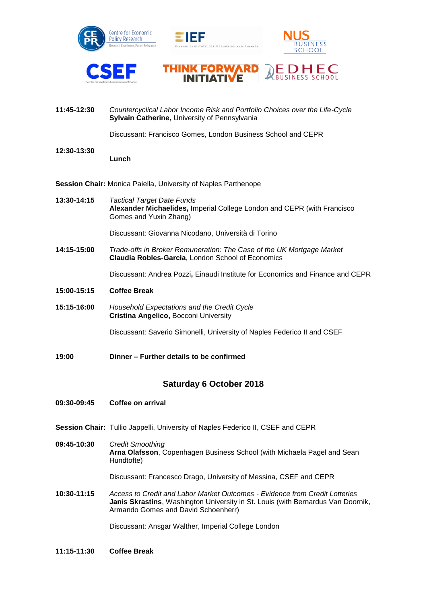









**11:45-12:30** *Countercyclical Labor Income Risk and Portfolio Choices over the Life-Cycle* **Sylvain Catherine,** University of Pennsylvania

Discussant: Francisco Gomes, London Business School and CEPR

**12:30-13:30**

**Lunch**

**Session Chair:** Monica Paiella, University of Naples Parthenope

**13:30-14:15** *Tactical Target Date Funds* **Alexander Michaelides,** Imperial College London and CEPR (with Francisco Gomes and Yuxin Zhang)

Discussant: Giovanna Nicodano, Università di Torino

**14:15-15:00** *Trade-offs in Broker Remuneration: The Case of the UK Mortgage Market*  **Claudia Robles-Garcia**, London School of Economics

Discussant: Andrea Pozzi**,** Einaudi Institute for Economics and Finance and CEPR

- **15:00-15:15 Coffee Break**
- **15:15-16:00** *Household Expectations and the Credit Cycle* **Cristina Angelico,** Bocconi University

Discussant: Saverio Simonelli, University of Naples Federico II and CSEF

**19:00 Dinner – Further details to be confirmed**

### **Saturday 6 October 2018**

- **09:30-09:45 Coffee on arrival**
- **Session Chair:** Tullio Jappelli, University of Naples Federico II, CSEF and CEPR
- **09:45-10:30** *Credit Smoothing* **Arna Olafsson**, Copenhagen Business School (with Michaela Pagel and Sean Hundtofte)

Discussant: Francesco Drago, University of Messina, CSEF and CEPR

**10:30-11:15** *Access to Credit and Labor Market Outcomes - Evidence from Credit Lotteries* **Janis Skrastins**, Washington University in St. Louis (with Bernardus Van Doornik, Armando Gomes and David Schoenherr)

Discussant: Ansgar Walther, Imperial College London

**11:15-11:30 Coffee Break**